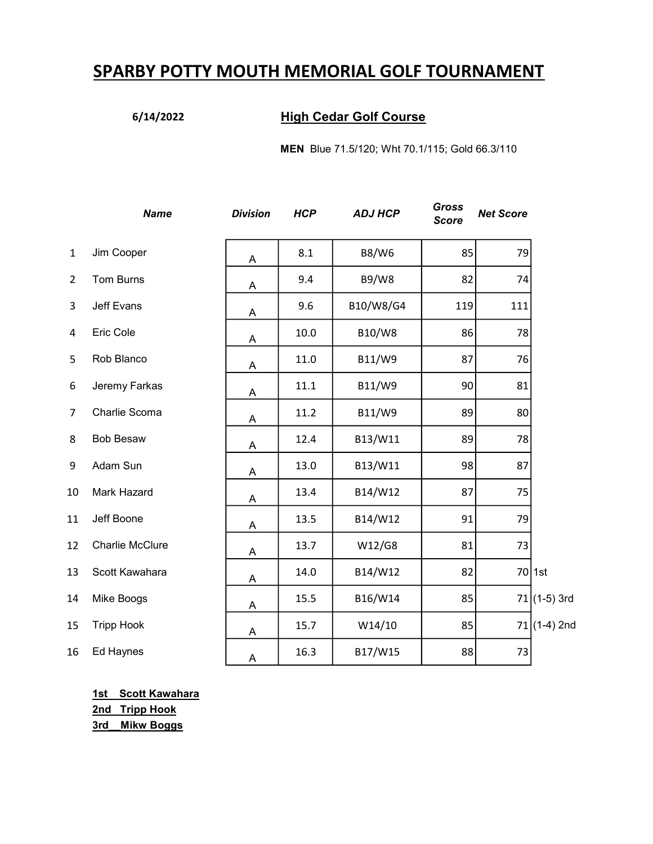# SPARBY POTTY MOUTH MEMORIAL GOLF TOURNAMENT

### 6/14/2022 High Cedar Golf Course

MEN Blue 71.5/120; Wht 70.1/115; Gold 66.3/110

|                | <b>Name</b>       | <b>Division</b> | <b>HCP</b> | <b>ADJ HCP</b> | Gross<br><b>Score</b> | <b>Net Score</b> |               |
|----------------|-------------------|-----------------|------------|----------------|-----------------------|------------------|---------------|
| $\mathbf{1}$   | Jim Cooper        | A               | 8.1        | <b>B8/W6</b>   | 85                    | 79               |               |
| $\overline{2}$ | Tom Burns         | Α               | 9.4        | <b>B9/W8</b>   | 82                    | 74               |               |
| 3              | Jeff Evans        | A               | 9.6        | B10/W8/G4      | 119                   | 111              |               |
| 4              | Eric Cole         | A               | 10.0       | B10/W8         | 86                    | 78               |               |
| 5              | Rob Blanco        | A               | 11.0       | B11/W9         | 87                    | 76               |               |
| 6              | Jeremy Farkas     | A               | 11.1       | B11/W9         | 90                    | 81               |               |
| $\overline{7}$ | Charlie Scoma     | A               | 11.2       | B11/W9         | 89                    | 80               |               |
| 8              | <b>Bob Besaw</b>  | Α               | 12.4       | B13/W11        | 89                    | 78               |               |
| 9              | Adam Sun          | A               | 13.0       | B13/W11        | 98                    | 87               |               |
| 10             | Mark Hazard       | Α               | 13.4       | B14/W12        | 87                    | 75               |               |
| 11             | Jeff Boone        | Α               | 13.5       | B14/W12        | 91                    | 79               |               |
| 12             | Charlie McClure   | Α               | 13.7       | W12/G8         | 81                    | 73               |               |
| 13             | Scott Kawahara    | A               | 14.0       | B14/W12        | 82                    |                  | 70 1st        |
| 14             | Mike Boogs        | Α               | 15.5       | B16/W14        | 85                    |                  | $71(1-5)$ 3rd |
| 15             | <b>Tripp Hook</b> | Α               | 15.7       | W14/10         | 85                    |                  | $71(1-4)$ 2nd |
| 16             | Ed Haynes         | A               | 16.3       | B17/W15        | 88                    | 73               |               |

1st Scott Kawahara 2nd Tripp Hook 3rd\_\_Mikw Boggs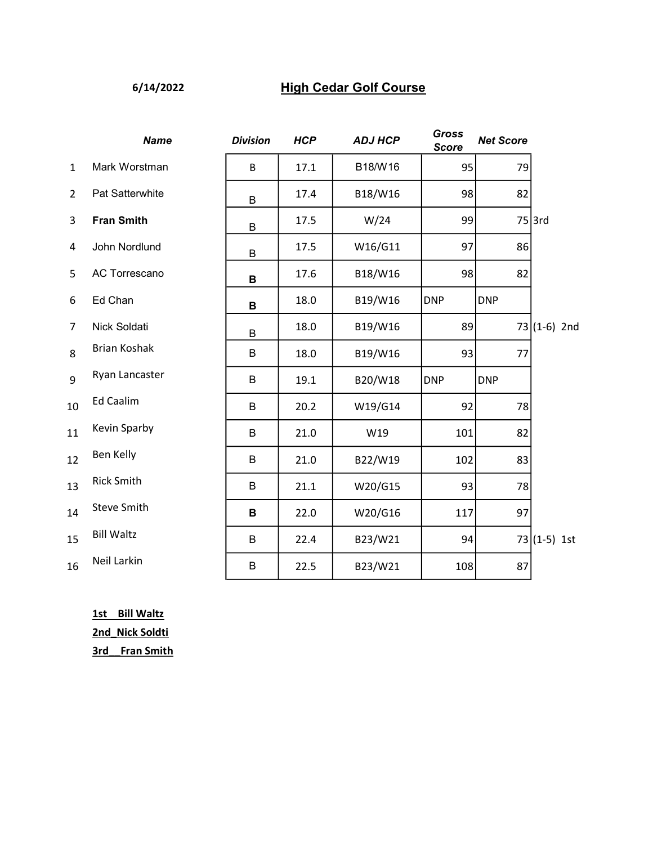### 6/14/2022 High Cedar Golf Course

|                | <b>Name</b>        | <b>Division</b> | <b>HCP</b> | <b>ADJ HCP</b> | Gross<br><b>Score</b> | <b>Net Score</b> |               |
|----------------|--------------------|-----------------|------------|----------------|-----------------------|------------------|---------------|
| $\mathbf{1}$   | Mark Worstman      | B               | 17.1       | B18/W16        | 95                    | 79               |               |
| $\overline{2}$ | Pat Satterwhite    | B               | 17.4       | B18/W16        | 98                    | 82               |               |
| 3              | <b>Fran Smith</b>  | B               | 17.5       | W/24           | 99                    |                  | $75$ 3rd      |
| 4              | John Nordlund      | B               | 17.5       | W16/G11        | 97                    | 86               |               |
| 5              | AC Torrescano      | B               | 17.6       | B18/W16        | 98                    | 82               |               |
| 6              | Ed Chan            | B               | 18.0       | B19/W16        | <b>DNP</b>            | <b>DNP</b>       |               |
| $\overline{7}$ | Nick Soldati       | B               | 18.0       | B19/W16        | 89                    |                  | $73(1-6)$ 2nd |
| 8              | Brian Koshak       | B               | 18.0       | B19/W16        | 93                    | 77               |               |
| 9              | Ryan Lancaster     | B               | 19.1       | B20/W18        | <b>DNP</b>            | <b>DNP</b>       |               |
| 10             | <b>Ed Caalim</b>   | B               | 20.2       | W19/G14        | 92                    | 78               |               |
| 11             | Kevin Sparby       | B               | 21.0       | W19            | 101                   | 82               |               |
| 12             | <b>Ben Kelly</b>   | B               | 21.0       | B22/W19        | 102                   | 83               |               |
| 13             | <b>Rick Smith</b>  | B               | 21.1       | W20/G15        | 93                    | 78               |               |
| 14             | <b>Steve Smith</b> | B               | 22.0       | W20/G16        | 117                   | 97               |               |
| 15             | <b>Bill Waltz</b>  | B               | 22.4       | B23/W21        | 94                    |                  | $73(1-5)$ 1st |
| 16             | Neil Larkin        | $\sf B$         | 22.5       | B23/W21        | 108                   | 87               |               |

1st Bill Waltz 2nd\_Nick Soldti 3rd\_\_Fran Smith